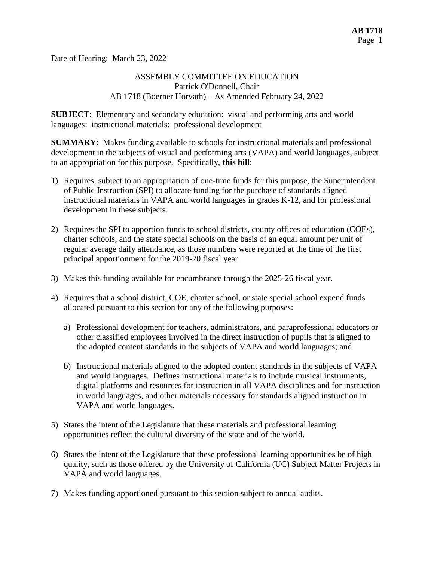Date of Hearing: March 23, 2022

# ASSEMBLY COMMITTEE ON EDUCATION Patrick O'Donnell, Chair AB 1718 (Boerner Horvath) – As Amended February 24, 2022

**SUBJECT**: Elementary and secondary education: visual and performing arts and world languages: instructional materials: professional development

**SUMMARY**: Makes funding available to schools for instructional materials and professional development in the subjects of visual and performing arts (VAPA) and world languages, subject to an appropriation for this purpose. Specifically, **this bill**:

- 1) Requires, subject to an appropriation of one-time funds for this purpose, the Superintendent of Public Instruction (SPI) to allocate funding for the purchase of standards aligned instructional materials in VAPA and world languages in grades K-12, and for professional development in these subjects.
- 2) Requires the SPI to apportion funds to school districts, county offices of education (COEs), charter schools, and the state special schools on the basis of an equal amount per unit of regular average daily attendance, as those numbers were reported at the time of the first principal apportionment for the 2019-20 fiscal year.
- 3) Makes this funding available for encumbrance through the 2025-26 fiscal year.
- 4) Requires that a school district, COE, charter school, or state special school expend funds allocated pursuant to this section for any of the following purposes:
	- a) Professional development for teachers, administrators, and paraprofessional educators or other classified employees involved in the direct instruction of pupils that is aligned to the adopted content standards in the subjects of VAPA and world languages; and
	- b) Instructional materials aligned to the adopted content standards in the subjects of VAPA and world languages. Defines instructional materials to include musical instruments, digital platforms and resources for instruction in all VAPA disciplines and for instruction in world languages, and other materials necessary for standards aligned instruction in VAPA and world languages.
- 5) States the intent of the Legislature that these materials and professional learning opportunities reflect the cultural diversity of the state and of the world.
- 6) States the intent of the Legislature that these professional learning opportunities be of high quality, such as those offered by the University of California (UC) Subject Matter Projects in VAPA and world languages.
- 7) Makes funding apportioned pursuant to this section subject to annual audits.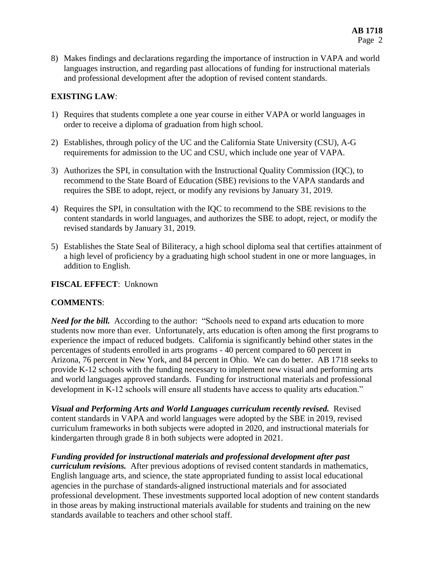8) Makes findings and declarations regarding the importance of instruction in VAPA and world languages instruction, and regarding past allocations of funding for instructional materials and professional development after the adoption of revised content standards.

#### **EXISTING LAW**:

- 1) Requires that students complete a one year course in either VAPA or world languages in order to receive a diploma of graduation from high school.
- 2) Establishes, through policy of the UC and the California State University (CSU), A-G requirements for admission to the UC and CSU, which include one year of VAPA.
- 3) Authorizes the SPI, in consultation with the Instructional Quality Commission (IQC), to recommend to the State Board of Education (SBE) revisions to the VAPA standards and requires the SBE to adopt, reject, or modify any revisions by January 31, 2019.
- 4) Requires the SPI, in consultation with the IQC to recommend to the SBE revisions to the content standards in world languages, and authorizes the SBE to adopt, reject, or modify the revised standards by January 31, 2019.
- 5) Establishes the State Seal of Biliteracy, a high school diploma seal that certifies attainment of a high level of proficiency by a graduating high school student in one or more languages, in addition to English.

#### **FISCAL EFFECT**: Unknown

# **COMMENTS**:

*Need for the bill.* According to the author: "Schools need to expand arts education to more students now more than ever. Unfortunately, arts education is often among the first programs to experience the impact of reduced budgets. California is significantly behind other states in the percentages of students enrolled in arts programs - 40 percent compared to 60 percent in Arizona, 76 percent in New York, and 84 percent in Ohio. We can do better. AB 1718 seeks to provide K-12 schools with the funding necessary to implement new visual and performing arts and world languages approved standards. Funding for instructional materials and professional development in K-12 schools will ensure all students have access to quality arts education."

*Visual and Performing Arts and World Languages curriculum recently revised.* Revised content standards in VAPA and world languages were adopted by the SBE in 2019, revised curriculum frameworks in both subjects were adopted in 2020, and instructional materials for kindergarten through grade 8 in both subjects were adopted in 2021.

*Funding provided for instructional materials and professional development after past curriculum revisions.* After previous adoptions of revised content standards in mathematics, English language arts, and science, the state appropriated funding to assist local educational agencies in the purchase of standards-aligned instructional materials and for associated professional development. These investments supported local adoption of new content standards in those areas by making instructional materials available for students and training on the new standards available to teachers and other school staff.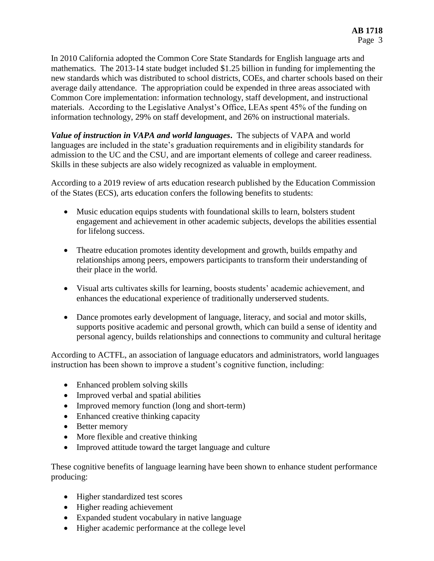In 2010 California adopted the Common Core State Standards for English language arts and mathematics. The 2013-14 state budget included \$1.25 billion in funding for implementing the new standards which was distributed to school districts, COEs, and charter schools based on their average daily attendance. The appropriation could be expended in three areas associated with Common Core implementation: information technology, staff development, and instructional materials. According to the Legislative Analyst's Office, LEAs spent 45% of the funding on information technology, 29% on staff development, and 26% on instructional materials.

*Value of instruction in VAPA and world languages***.** The subjects of VAPA and world languages are included in the state's graduation requirements and in eligibility standards for admission to the UC and the CSU, and are important elements of college and career readiness. Skills in these subjects are also widely recognized as valuable in employment.

According to a 2019 review of arts education research published by the Education Commission of the States (ECS), arts education confers the following benefits to students:

- Music education equips students with foundational skills to learn, bolsters student engagement and achievement in other academic subjects, develops the abilities essential for lifelong success.
- Theatre education promotes identity development and growth, builds empathy and relationships among peers, empowers participants to transform their understanding of their place in the world.
- Visual arts cultivates skills for learning, boosts students' academic achievement, and enhances the educational experience of traditionally underserved students.
- Dance promotes early development of language, literacy, and social and motor skills, supports positive academic and personal growth, which can build a sense of identity and personal agency, builds relationships and connections to community and cultural heritage

According to ACTFL, an association of language educators and administrators, world languages instruction has been shown to improve a student's cognitive function, including:

- Enhanced problem solving skills
- Improved verbal and spatial abilities
- Improved memory function (long and short-term)
- Enhanced creative thinking capacity
- Better memory
- More flexible and creative thinking
- Improved attitude toward the target language and culture

These cognitive benefits of language learning have been shown to enhance student performance producing:

- Higher standardized test scores
- Higher reading achievement
- Expanded student vocabulary in native language
- Higher academic performance at the college level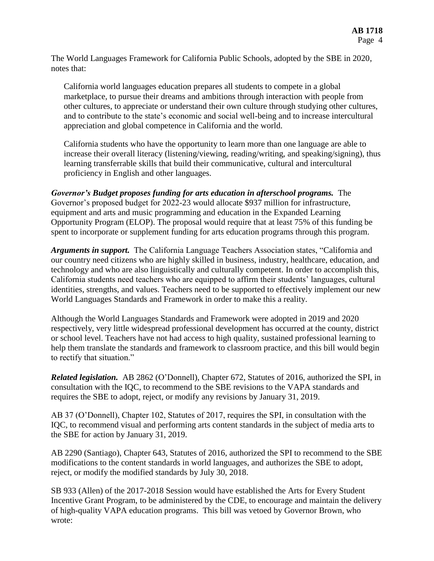The World Languages Framework for California Public Schools, adopted by the SBE in 2020, notes that:

California world languages education prepares all students to compete in a global marketplace, to pursue their dreams and ambitions through interaction with people from other cultures, to appreciate or understand their own culture through studying other cultures, and to contribute to the state's economic and social well-being and to increase intercultural appreciation and global competence in California and the world.

California students who have the opportunity to learn more than one language are able to increase their overall literacy (listening/viewing, reading/writing, and speaking/signing), thus learning transferrable skills that build their communicative, cultural and intercultural proficiency in English and other languages.

*Governor's Budget proposes funding for arts education in afterschool programs.* The Governor's proposed budget for 2022-23 would allocate \$937 million for infrastructure, equipment and arts and music programming and education in the Expanded Learning Opportunity Program (ELOP). The proposal would require that at least 75% of this funding be spent to incorporate or supplement funding for arts education programs through this program.

*Arguments in support.* The California Language Teachers Association states, "California and our country need citizens who are highly skilled in business, industry, healthcare, education, and technology and who are also linguistically and culturally competent. In order to accomplish this, California students need teachers who are equipped to affirm their students' languages, cultural identities, strengths, and values. Teachers need to be supported to effectively implement our new World Languages Standards and Framework in order to make this a reality.

Although the World Languages Standards and Framework were adopted in 2019 and 2020 respectively, very little widespread professional development has occurred at the county, district or school level. Teachers have not had access to high quality, sustained professional learning to help them translate the standards and framework to classroom practice, and this bill would begin to rectify that situation."

*Related legislation.* AB 2862 (O'Donnell), Chapter 672, Statutes of 2016, authorized the SPI, in consultation with the IQC, to recommend to the SBE revisions to the VAPA standards and requires the SBE to adopt, reject, or modify any revisions by January 31, 2019.

AB 37 (O'Donnell), Chapter 102, Statutes of 2017, requires the SPI, in consultation with the IQC, to recommend visual and performing arts content standards in the subject of media arts to the SBE for action by January 31, 2019.

AB 2290 (Santiago), Chapter 643, Statutes of 2016, authorized the SPI to recommend to the SBE modifications to the content standards in world languages, and authorizes the SBE to adopt, reject, or modify the modified standards by July 30, 2018.

SB 933 (Allen) of the 2017-2018 Session would have established the Arts for Every Student Incentive Grant Program, to be administered by the CDE, to encourage and maintain the delivery of high-quality VAPA education programs. This bill was vetoed by Governor Brown, who wrote: